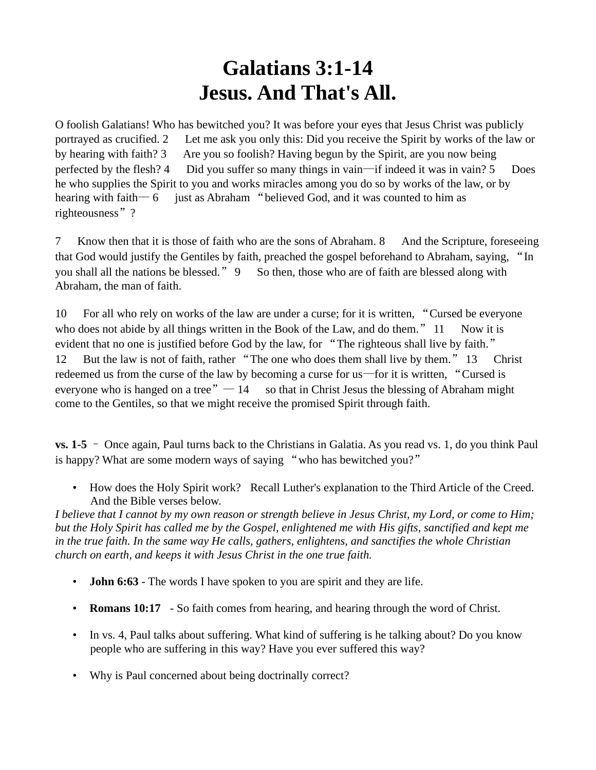## **Galatians 3:1-14 Jesus. And That's All.**

O foolish Galatians! Who has bewitched you? It was before your eyes that Jesus Christ was publicly portrayed as crucified. 2 Let me ask you only this: Did you receive the Spirit by works of the law or by hearing with faith? 3 Are you so foolish? Having begun by the Spirit, are you now being perfected by the flesh? 4 Did you suffer so many things in vain—if indeed it was in vain? 5 Does he who supplies the Spirit to you and works miracles among you do so by works of the law, or by hearing with faith—  $6$  just as Abraham "believed God, and it was counted to him as righteousness"?

7 Know then that it is those of faith who are the sons of Abraham. 8 And the Scripture, foreseeing that God would justify the Gentiles by faith, preached the gospel beforehand to Abraham, saying, "In you shall all the nations be blessed." 9 So then, those who are of faith are blessed along with Abraham, the man of faith.

10 For all who rely on works of the law are under a curse; for it is written, "Cursed be everyone who does not abide by all things written in the Book of the Law, and do them."  $11$  Now it is evident that no one is justified before God by the law, for "The righteous shall live by faith." 12 But the law is not of faith, rather "The one who does them shall live by them." 13 Christ redeemed us from the curse of the law by becoming a curse for us—for it is written, "Cursed is everyone who is hanged on a tree  $" - 14$  so that in Christ Jesus the blessing of Abraham might come to the Gentiles, so that we might receive the promised Spirit through faith.

**vs. 1-5** – Once again, Paul turns back to the Christians in Galatia. As you read vs. 1, do you think Paul is happy? What are some modern ways of saying "who has bewitched you?"

• How does the Holy Spirit work? Recall Luther's explanation to the Third Article of the Creed. And the Bible verses below.

*I believe that I cannot by my own reason or strength believe in Jesus Christ, my Lord, or come to Him; but the Holy Spirit has called me by the Gospel, enlightened me with His gifts, sanctified and kept me in the true faith. In the same way He calls, gathers, enlightens, and sanctifies the whole Christian church on earth, and keeps it with Jesus Christ in the one true faith.* 

- **John 6:63** The words I have spoken to you are spirit and they are life.
- **Romans 10:17** So faith comes from hearing, and hearing through the word of Christ.
- In vs. 4, Paul talks about suffering. What kind of suffering is he talking about? Do you know people who are suffering in this way? Have you ever suffered this way?
- Why is Paul concerned about being doctrinally correct?